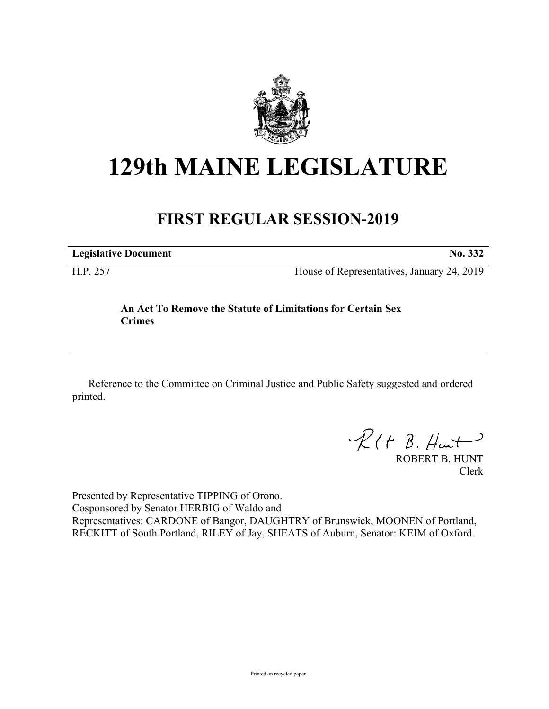

## **129th MAINE LEGISLATURE**

## **FIRST REGULAR SESSION-2019**

**Legislative Document No. 332**

H.P. 257 House of Representatives, January 24, 2019

## **An Act To Remove the Statute of Limitations for Certain Sex Crimes**

Reference to the Committee on Criminal Justice and Public Safety suggested and ordered printed.

 $R(H B. H<sub>un</sub>+)$ 

ROBERT B. HUNT Clerk

Presented by Representative TIPPING of Orono. Cosponsored by Senator HERBIG of Waldo and Representatives: CARDONE of Bangor, DAUGHTRY of Brunswick, MOONEN of Portland, RECKITT of South Portland, RILEY of Jay, SHEATS of Auburn, Senator: KEIM of Oxford.